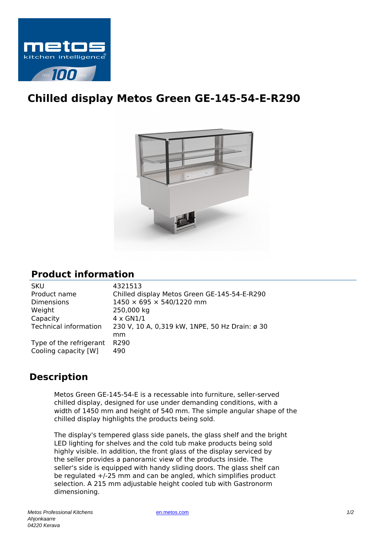

## **Chilled display Metos Green GE-145-54-E-R290**



## **Product information**

| <b>SKU</b>                   | 4321513                                        |
|------------------------------|------------------------------------------------|
| Product name                 | Chilled display Metos Green GE-145-54-E-R290   |
| <b>Dimensions</b>            | 1450 × 695 × 540/1220 mm                       |
| Weight                       | 250,000 kg                                     |
| Capacity                     | $4 \times$ GN1/1                               |
| <b>Technical information</b> | 230 V, 10 A, 0,319 kW, 1NPE, 50 Hz Drain: ø 30 |
|                              | mm                                             |
| Type of the refrigerant      | R <sub>290</sub>                               |
| Cooling capacity [W]         | 490                                            |
|                              |                                                |

## **Description**

Metos Green GE-145-54-E is a recessable into furniture, seller-served chilled display, designed for use under demanding conditions, with a width of 1450 mm and height of 540 mm. The simple angular shape of the chilled display highlights the products being sold.

The display's tempered glass side panels, the glass shelf and the bright LED lighting for shelves and the cold tub make products being sold highly visible. In addition, the front glass of the display serviced by the seller provides a panoramic view of the products inside. The seller's side is equipped with handy sliding doors. The glass shelf can be regulated +/-25 mm and can be angled, which simplifies product selection. A 215 mm adjustable height cooled tub with Gastronorm dimensioning.